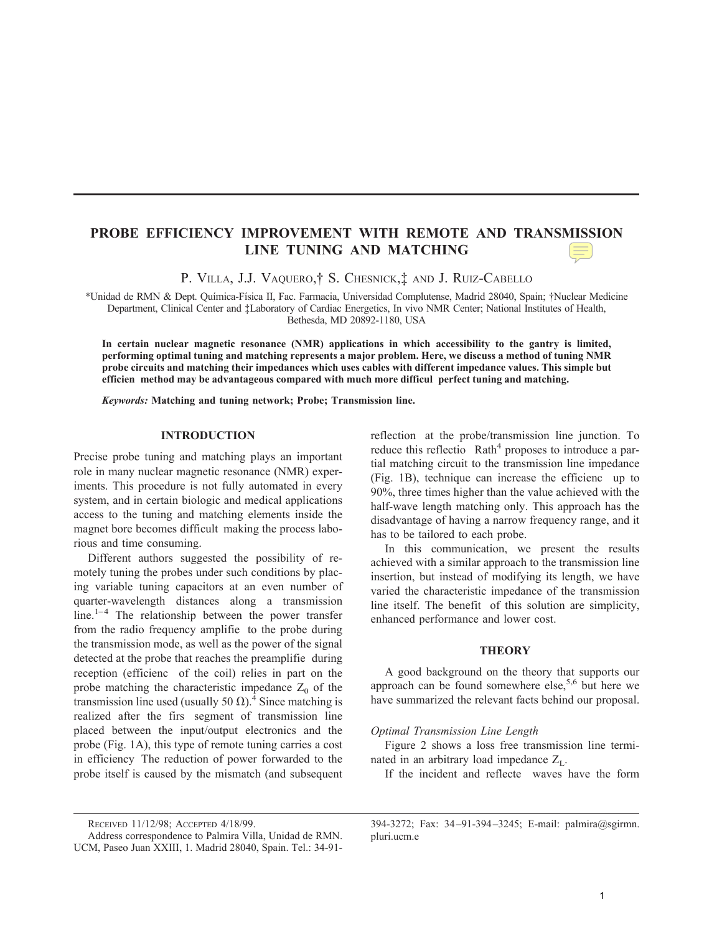# **PROBE EFFICIENCY IMPROVEMENT WITH REMOTE AND TRANSMISSION LINE TUNING AND MATCHING**

P. VILLA, J.J. VAQUERO,<sup>†</sup> S. CHESNICK,<sup>†</sup> AND J. RUIZ-CABELLO

\*Unidad de RMN & Dept. Quı´mica-Fı´sica II, Fac. Farmacia, Universidad Complutense, Madrid 28040, Spain; †Nuclear Medicine Department, Clinical Center and ‡Laboratory of Cardiac Energetics, In vivo NMR Center; National Institutes of Health, Bethesda, MD 20892-1180, USA

**In certain nuclear magnetic resonance (NMR) applications in which accessibility to the gantry is limited, performing optimal tuning and matching represents a major problem. Here, we discuss a method of tuning NMR probe circuits and matching their impedances which uses cables with different impedance values. This simple but efficien method may be advantageous compared with much more difficul perfect tuning and matching.**

*Keywords:* **Matching and tuning network; Probe; Transmission line.**

#### **INTRODUCTION**

Precise probe tuning and matching plays an important role in many nuclear magnetic resonance (NMR) experiments. This procedure is not fully automated in every system, and in certain biologic and medical applications access to the tuning and matching elements inside the magnet bore becomes difficult making the process laborious and time consuming.

Different authors suggested the possibility of remotely tuning the probes under such conditions by placing variable tuning capacitors at an even number of quarter-wavelength distances along a transmission line. $1-4$  The relationship between the power transfer from the radio frequency amplifie to the probe during the transmission mode, as well as the power of the signal detected at the probe that reaches the preamplifie during reception (efficienc of the coil) relies in part on the probe matching the characteristic impedance  $Z_0$  of the transmission line used (usually 50  $\Omega$ ).<sup>4</sup> Since matching is realized after the firs segment of transmission line placed between the input/output electronics and the probe (Fig. 1A), this type of remote tuning carries a cost in efficiency The reduction of power forwarded to the probe itself is caused by the mismatch (and subsequent reflection at the probe/transmission line junction. To reduce this reflectio Rath<sup>4</sup> proposes to introduce a partial matching circuit to the transmission line impedance (Fig. 1B), technique can increase the efficienc up to 90%, three times higher than the value achieved with the half-wave length matching only. This approach has the disadvantage of having a narrow frequency range, and it has to be tailored to each probe.

In this communication, we present the results achieved with a similar approach to the transmission line insertion, but instead of modifying its length, we have varied the characteristic impedance of the transmission line itself. The benefit of this solution are simplicity, enhanced performance and lower cost.

## **THEORY**

A good background on the theory that supports our approach can be found somewhere else,<sup>5,6</sup> but here we have summarized the relevant facts behind our proposal.

#### *Optimal Transmission Line Length*

Figure 2 shows a loss free transmission line terminated in an arbitrary load impedance  $Z_{\text{L}}$ .

If the incident and reflecte waves have the form

394-3272; Fax: 34 –91-394 –3245; E-mail: palmira@sgirmn. pluri.ucm.e

RECEIVED 11/12/98; ACCEPTED 4/18/99.

Address correspondence to Palmira Villa, Unidad de RMN. UCM, Paseo Juan XXIII, 1. Madrid 28040, Spain. Tel.: 34-91-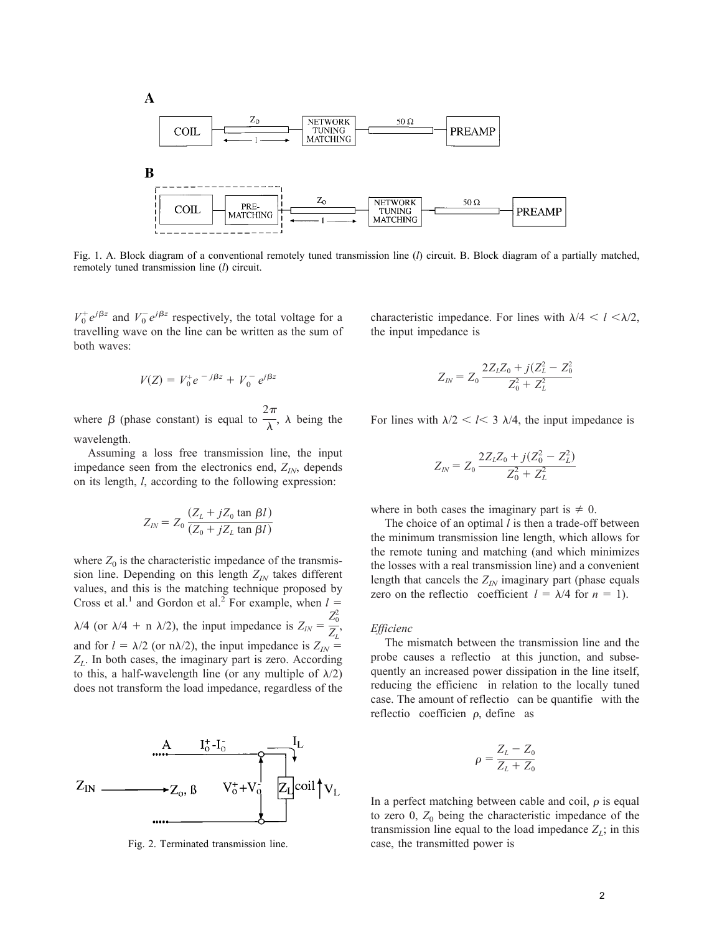

Fig. 1. A. Block diagram of a conventional remotely tuned transmission line (*l*) circuit. B. Block diagram of a partially matched, remotely tuned transmission line (*l*) circuit.

 $V_0^+ e^{j\beta z}$  and  $V_0^- e^{j\beta z}$  respectively, the total voltage for a travelling wave on the line can be written as the sum of both waves:

$$
V(Z) = V_0^+ e^{-j\beta z} + V_0^- e^{j\beta z}
$$

where  $\beta$  (phase constant) is equal to  $2\pi$  $\overline{\lambda}$ ,  $\lambda$  being the wavelength.

Assuming a loss free transmission line, the input impedance seen from the electronics end,  $Z_{IN}$ , depends on its length, *l*, according to the following expression:

$$
Z_{IN} = Z_0 \frac{(Z_L + jZ_0 \tan \beta l)}{(Z_0 + jZ_L \tan \beta l)}
$$

where  $Z_0$  is the characteristic impedance of the transmission line. Depending on this length  $Z_{IN}$  takes different values, and this is the matching technique proposed by Cross et al.<sup>1</sup> and Gordon et al.<sup>2</sup> For example, when  $l =$  $\lambda/4$  (or  $\lambda/4$  + n  $\lambda/2$ ), the input impedance is  $Z_{IN} = \frac{Z_0^2}{Z}$  $\sum_{L}$ <sup>o</sup> and for  $l = \lambda/2$  (or n $\lambda/2$ ), the input impedance is  $Z_{IN}$  = *ZL*. In both cases, the imaginary part is zero. According to this, a half-wavelength line (or any multiple of  $\lambda/2$ ) does not transform the load impedance, regardless of the



Fig. 2. Terminated transmission line.

characteristic impedance. For lines with  $\lambda/4 < l < \lambda/2$ , the input impedance is

$$
Z_{IN} = Z_0 \frac{2Z_L Z_0 + j(Z_L^2 - Z_0^2)}{Z_0^2 + Z_L^2}
$$

For lines with  $\lambda/2 < l < 3$   $\lambda/4$ , the input impedance is

$$
Z_{IN} = Z_0 \frac{2Z_L Z_0 + j(Z_0^2 - Z_L^2)}{Z_0^2 + Z_L^2}
$$

where in both cases the imaginary part is  $\neq 0$ .

The choice of an optimal *l* is then a trade-off between the minimum transmission line length, which allows for the remote tuning and matching (and which minimizes the losses with a real transmission line) and a convenient length that cancels the  $Z_{IN}$  imaginary part (phase equals zero on the reflectio coefficient  $l = \lambda/4$  for  $n = 1$ ).

#### *Efficienc*

The mismatch between the transmission line and the probe causes a reflectio at this junction, and subsequently an increased power dissipation in the line itself, reducing the efficienc in relation to the locally tuned case. The amount of reflectio can be quantifie with the reflectio coefficien  $\rho$ , define as

$$
\rho = \frac{Z_L - Z_0}{Z_L + Z_0}
$$

In a perfect matching between cable and coil,  $\rho$  is equal to zero  $0$ ,  $Z_0$  being the characteristic impedance of the transmission line equal to the load impedance  $Z_L$ ; in this case, the transmitted power is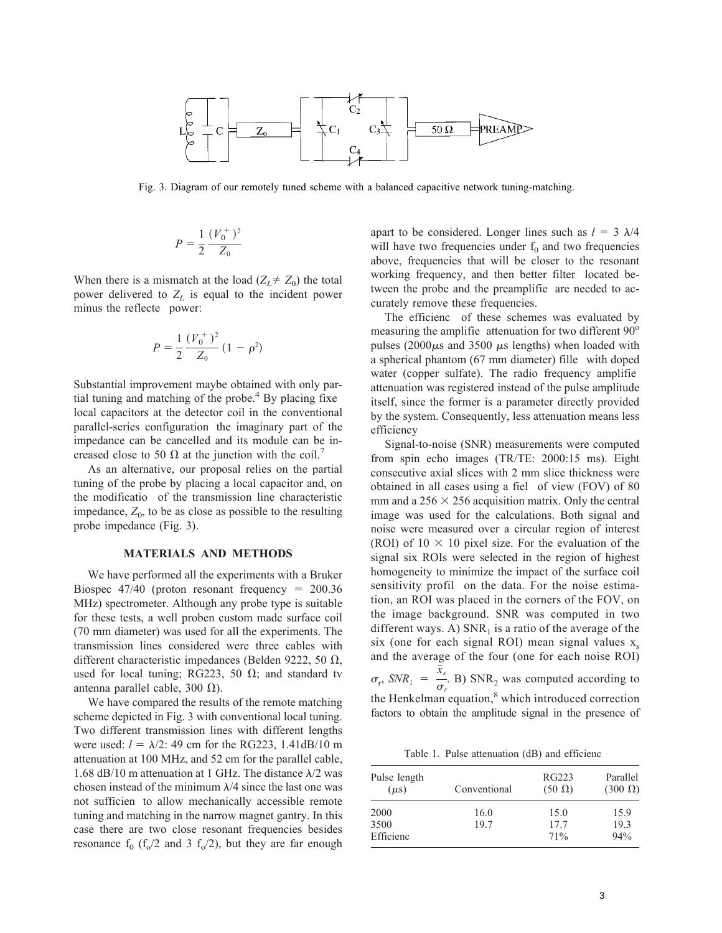

Fig. 3. Diagram of our remotely tuned scheme with a balanced capacitive network tuning-matching.

$$
P = \frac{1}{2} \frac{(V_0^+)^2}{Z_0}
$$

When there is a mismatch at the load  $(Z_L \neq Z_0)$  the total power delivered to  $Z_L$  is equal to the incident power minus the reflecte power:

$$
P = \frac{1}{2} \frac{(V_0^+)^2}{Z_0} (1 - \rho^2)
$$

Substantial improvement maybe obtained with only partial tuning and matching of the probe.<sup>4</sup> By placing fixe local capacitors at the detector coil in the conventional parallel-series configuration the imaginary part of the impedance can be cancelled and its module can be increased close to 50  $\Omega$  at the junction with the coil.<sup>7</sup>

As an alternative, our proposal relies on the partial tuning of the probe by placing a local capacitor and, on the modificatio of the transmission line characteristic impedance,  $Z_0$ , to be as close as possible to the resulting probe impedance (Fig. 3).

#### **MATERIALS AND METHODS**

We have performed all the experiments with a Bruker Biospec  $47/40$  (proton resonant frequency = 200.36 MHz) spectrometer. Although any probe type is suitable for these tests, a well proben custom made surface coil (70 mm diameter) was used for all the experiments. The transmission lines considered were three cables with different characteristic impedances (Belden 9222, 50  $\Omega$ , used for local tuning; RG223, 50  $\Omega$ ; and standard tv antenna parallel cable, 300  $\Omega$ ).

We have compared the results of the remote matching scheme depicted in Fig. 3 with conventional local tuning. Two different transmission lines with different lengths were used:  $l = \lambda/2$ : 49 cm for the RG223, 1.41dB/10 m attenuation at 100 MHz, and 52 cm for the parallel cable, 1.68 dB/10 m attenuation at 1 GHz. The distance  $\lambda$ /2 was chosen instead of the minimum  $\lambda/4$  since the last one was not sufficien to allow mechanically accessible remote tuning and matching in the narrow magnet gantry. In this case there are two close resonant frequencies besides resonance  $f_0$  ( $f_0/2$  and 3  $f_0/2$ ), but they are far enough apart to be considered. Longer lines such as  $l = 3 \lambda/4$ will have two frequencies under  $f_0$  and two frequencies above, frequencies that will be closer to the resonant working frequency, and then better filter located between the probe and the preamplifie are needed to accurately remove these frequencies.

The efficienc of these schemes was evaluated by measuring the amplifie attenuation for two different  $90^{\circ}$ pulses  $(2000\mu s$  and 3500  $\mu s$  lengths) when loaded with a spherical phantom (67 mm diameter) fille with doped water (copper sulfate). The radio frequency amplifie attenuation was registered instead of the pulse amplitude itself, since the former is a parameter directly provided by the system. Consequently, less attenuation means less efficiency

Signal-to-noise (SNR) measurements were computed from spin echo images (TR/TE: 2000:15 ms). Eight consecutive axial slices with 2 mm slice thickness were obtained in all cases using a fiel of view (FOV) of 80 mm and a  $256 \times 256$  acquisition matrix. Only the central image was used for the calculations. Both signal and noise were measured over a circular region of interest (ROI) of  $10 \times 10$  pixel size. For the evaluation of the signal six ROIs were selected in the region of highest homogeneity to minimize the impact of the surface coil sensitivity profil on the data. For the noise estimation, an ROI was placed in the corners of the FOV, on the image background. SNR was computed in two different ways. A)  $SNR<sub>1</sub>$  is a ratio of the average of the six (one for each signal ROI) mean signal values  $x<sub>s</sub>$ and the average of the four (one for each noise ROI)  $\sigma_r$ , *SNR*<sub>1</sub> =  $\frac{\bar{x}_s}{\sigma_r}$ . B) SNR<sub>2</sub> was computed according to the Henkelman equation,<sup>8</sup> which introduced correction factors to obtain the amplitude signal in the presence of

Table 1. Pulse attenuation (dB) and efficienc

| Pulse length<br>$(\mu s)$ | Conventional | RG223<br>$(50 \Omega)$ | Parallel<br>$(300 \Omega)$ |  |
|---------------------------|--------------|------------------------|----------------------------|--|
| 2000                      | 16.0         | 15.0                   | 15.9                       |  |
| 3500                      | 197          | 17.7                   | 19.3                       |  |
| Efficienc                 |              | 71%                    | 94%                        |  |